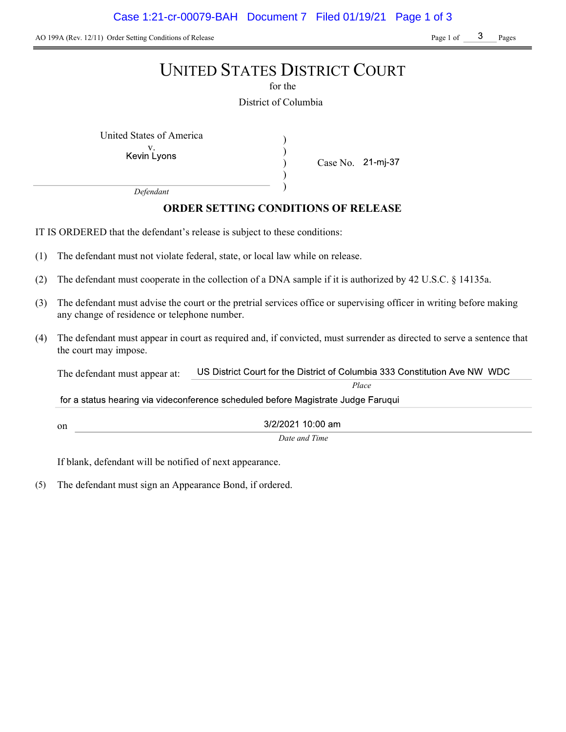AO 199A (Rev. 12/11) Order Setting Conditions of Release Page 1 of Page 1 of Pages

# UNITED STATES DISTRICT COURT

for the

District of Columbia

) ) ) )

United States of America (1992)

Kevin Lyons

Case No. 21-mj-37

Place

Defendant

## ORDER SETTING CONDITIONS OF RELEASE

IT IS ORDERED that the defendant's release is subject to these conditions:

- (1) The defendant must not violate federal, state, or local law while on release.
- (2) The defendant must cooperate in the collection of a DNA sample if it is authorized by 42 U.S.C. § 14135a.
- (3) The defendant must advise the court or the pretrial services office or supervising officer in writing before making any change of residence or telephone number.
- (4) The defendant must appear in court as required and, if convicted, must surrender as directed to serve a sentence that the court may impose.

US District Court for the District of Columbia 333 Constitution Ave NW WDC The defendant must appear at:

for a status hearing via videconference scheduled before Magistrate Judge Faruqui

on

3/2/2021 10:00 am Date and Time

If blank, defendant will be notified of next appearance.

(5) The defendant must sign an Appearance Bond, if ordered.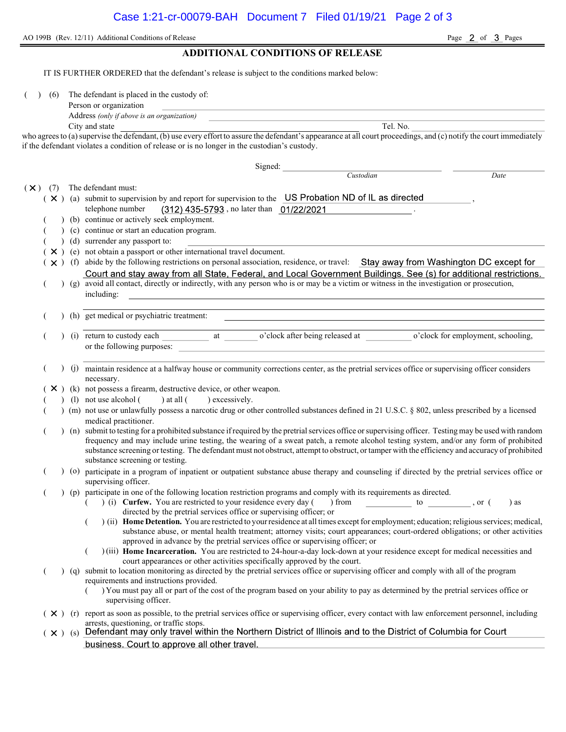AO 199B (Rev. 12/11) Additional Conditions of Release Page 2 of 3 Pages

#### ADDITIONAL CONDITIONS OF RELEASE

IT IS FURTHER ORDERED that the defendant's release is subject to the conditions marked below:

(6) The defendant is placed in the custody of:

| Person or organization |  |  |  |  |
|------------------------|--|--|--|--|
|                        |  |  |  |  |

Address (only if above is an organization)

City and state Tel. No. who agrees to (a) supervise the defendant, (b) use every effort to assure the defendant's appearance at all court proceedings, and (c) notify the court immediately if the defendant violates a condition of release or is no longer in the custodian's custody.

Signed: Custodian Date  $(\times)$  (7) The defendant must:  $(X)$  (a) submit to supervision by and report for supervision to the US Probation ND of IL as directed telephone number (312) 435-5793, no later than 01/22/2021 (b) continue or actively seek employment. (c) continue or start an education program. ( ) (d) surrender any passport to:  $(X)$  (e) not obtain a passport or other international travel document.  $(x)$  (f) abide by the following restrictions on personal association, residence, or travel: Stay away from Washington DC except for Court and stay away from all State, Federal, and Local Government Buildings. See (s) for additional restrictions.<br>
(g) avoid all contact, directly or indirectly, with any person who is or may be a victim or witness in the including: ( ) (h) get medical or psychiatric treatment: (i) return to custody each at o'clock after being released at o'clock for employment, schooling, or the following purposes: ( ) (j) maintain residence at a halfway house or community corrections center, as the pretrial services office or supervising officer considers necessary.  $(X)$  (k) not possess a firearm, destructive device, or other weapon. (1) not use alcohol  $($  ) at all  $($  ) excessively. ( ) (m) not use or unlawfully possess a narcotic drug or other controlled substances defined in 21 U.S.C. § 802, unless prescribed by a licensed medical practitioner. ( ) (n) submit to testing for a prohibited substance if required by the pretrial services office or supervising officer. Testing may be used with random frequency and may include urine testing, the wearing of a sweat patch, a remote alcohol testing system, and/or any form of prohibited substance screening or testing. The defendant must not obstruct, attempt to obstruct, or tamper with the efficiency and accuracy of prohibited substance screening or testing. ( ) (o) participate in a program of inpatient or outpatient substance abuse therapy and counseling if directed by the pretrial services office or supervising officer. (a) (p) participate in one of the following location restriction programs and comply with its requirements as directed.<br>(b) (i) Curfew. You are restricted to your residence every day (b) from to ( ) (i) Curfew. You are restricted to your residence every day ( ) from to , or ( ) as directed by the pretrial services office or supervising officer; or  $($ ) (ii) Home Detention. You are restricted to your residence at all times except for employment; education; religious services; medical, substance abuse, or mental health treatment; attorney visits; court appearances; court-ordered obligations; or other activities approved in advance by the pretrial services office or supervising officer; or ( ) (iii) Home Incarceration. You are restricted to 24-hour-a-day lock-down at your residence except for medical necessities and court appearances or other activities specifically approved by the court. ( ) (q) submit to location monitoring as directed by the pretrial services office or supervising officer and comply with all of the program requirements and instructions provided. ( ) You must pay all or part of the cost of the program based on your ability to pay as determined by the pretrial services office or supervising officer.  $(X)$  (r) report as soon as possible, to the pretrial services office or supervising officer, every contact with law enforcement personnel, including arrests, questioning, or traffic stops.<br>Defendant may only travel within the Northern District of Illinois and to the District of Columbia for Court  $(\times )$  (s) business. Court to approve all other travel.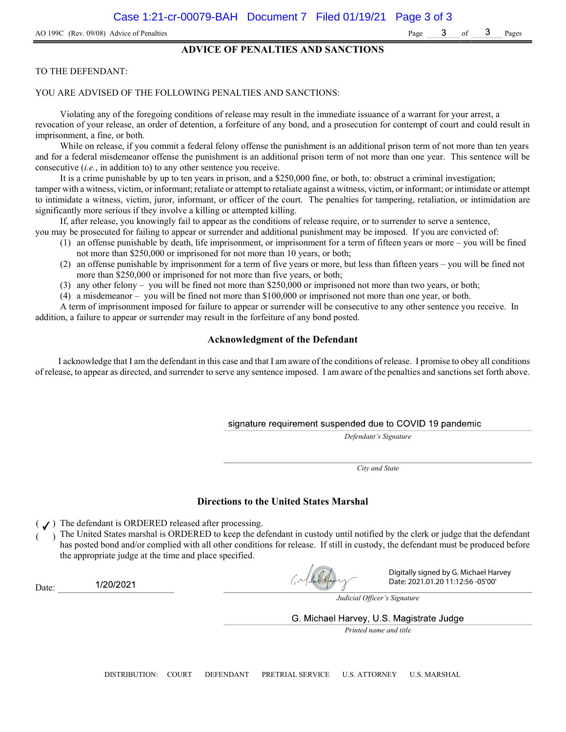#### ADVICE OF PENALTIES AND SANCTIONS

#### TO THE DEFENDANT:

#### YOU ARE ADVISED OF THE FOLLOWING PENALTIES AND SANCTIONS:

Violating any of the foregoing conditions of release may result in the immediate issuance of a warrant for your arrest, a revocation of your release, an order of detention, a forfeiture of any bond, and a prosecution for contempt of court and could result in imprisonment, a fine, or both.

While on release, if you commit a federal felony offense the punishment is an additional prison term of not more than ten years and for a federal misdemeanor offense the punishment is an additional prison term of not more than one year. This sentence will be consecutive (i.e., in addition to) to any other sentence you receive.

It is a crime punishable by up to ten years in prison, and a \$250,000 fine, or both, to: obstruct a criminal investigation; tamper with a witness, victim, or informant; retaliate or attempt to retaliate against a witness, victim, or informant; or intimidate or attempt to intimidate a witness, victim, juror, informant, or officer of the court. The penalties for tampering, retaliation, or intimidation are significantly more serious if they involve a killing or attempted killing.

If, after release, you knowingly fail to appear as the conditions of release require, or to surrender to serve a sentence,

- you may be prosecuted for failing to appear or surrender and additional punishment may be imposed. If you are convicted of: (1) an offense punishable by death, life imprisonment, or imprisonment for a term of fifteen years or more – you will be fined
	- not more than \$250,000 or imprisoned for not more than 10 years, or both;
	- (2) an offense punishable by imprisonment for a term of five years or more, but less than fifteen years you will be fined not more than \$250,000 or imprisoned for not more than five years, or both;
	- (3) any other felony you will be fined not more than \$250,000 or imprisoned not more than two years, or both;
	- (4) a misdemeanor you will be fined not more than \$100,000 or imprisoned not more than one year, or both.

A term of imprisonment imposed for failure to appear or surrender will be consecutive to any other sentence you receive. In addition, a failure to appear or surrender may result in the forfeiture of any bond posted.

#### Acknowledgment of the Defendant

I acknowledge that I am the defendant in this case and that I am aware of the conditions of release. I promise to obey all conditions of release, to appear as directed, and surrender to serve any sentence imposed. I am aware of the penalties and sanctions set forth above.

#### signature requirement suspended due to COVID 19 pandemic

Defendant's Signature

City and State

#### Directions to the United States Marshal

 $($   $J)$  The defendant is ORDERED released after processing.

) The United States marshal is ORDERED to keep the defendant in custody until notified by the clerk or judge that the defendant has posted bond and/or complied with all other conditions for release. If still in custody, the defendant must be produced before the appropriate judge at the time and place specified.

1/20/2021 Date:



Digitally signed by G. Michael Harvey Date: 2021.01.20 11:12:56 -05'00'

Judicial Officer's Signature

G. Michael Harvey, U.S. Magistrate Judge

Printed name and title

DISTRIBUTION: COURT DEFENDANT PRETRIAL SERVICE U.S. ATTORNEY U.S. MARSHAL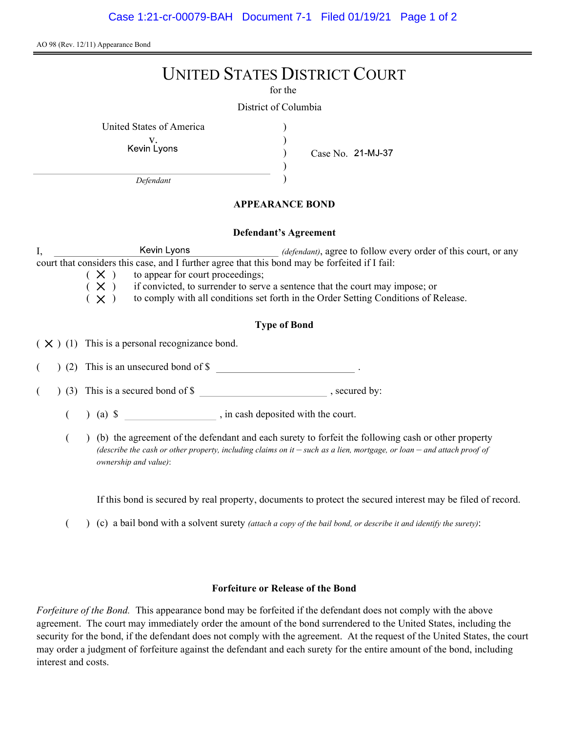AO 98 (Rev. 12/11) Appearance Bond

# UNITED STATES DISTRICT COURT

for the

) ) ) )

District of Columbia

United States of America )

v.<br>Kevin Lyons

Case No.

Defendant

### APPEARANCE BOND

#### Defendant's Agreement

I, Kevin Lyons *(defendant)*, agree to follow every order of this court, or any court that considers this case, and I further agree that this bond may be forfeited if I fail:

 $(X)$  to appear for court proceedings;<br> $(X)$  if convicted, to surrender to serv

 $(X)$  if convicted, to surrender to serve a sentence that the court may impose; or  $(X)$  to comply with all conditions set forth in the Order Setting Conditions of R

to comply with all conditions set forth in the Order Setting Conditions of Release.

## Type of Bond

 $(X)$  (1) This is a personal recognizance bond.

(2) This is an unsecured bond of \$

 $($   $)$  (3) This is a secured bond of \$, secured by:

 $($  ) (a)  $\$  , in cash deposited with the court.

( ) (b) the agreement of the defendant and each surety to forfeit the following cash or other property (describe the cash or other property, including claims on it  $-$  such as a lien, mortgage, or loan  $-$  and attach proof of ownership and value):

If this bond is secured by real property, documents to protect the secured interest may be filed of record.

 $($  )  $(c)$  a bail bond with a solvent surety *(attach a copy of the bail bond, or describe it and identify the surety)*:

#### Forfeiture or Release of the Bond

Forfeiture of the Bond. This appearance bond may be forfeited if the defendant does not comply with the above agreement. The court may immediately order the amount of the bond surrendered to the United States, including the security for the bond, if the defendant does not comply with the agreement. At the request of the United States, the court may order a judgment of forfeiture against the defendant and each surety for the entire amount of the bond, including interest and costs.